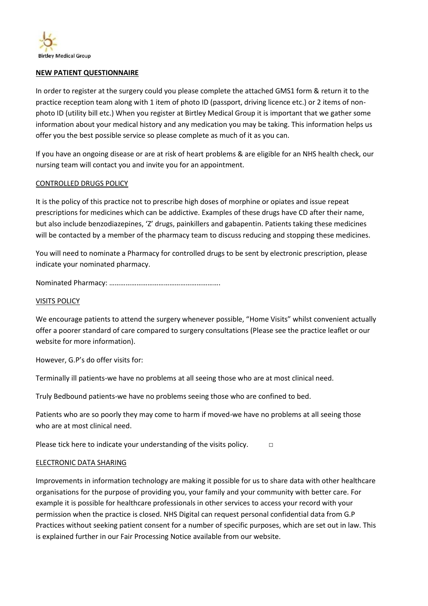

#### **NEW PATIENT QUESTIONNAIRE**

In order to register at the surgery could you please complete the attached GMS1 form & return it to the practice reception team along with 1 item of photo ID (passport, driving licence etc.) or 2 items of nonphoto ID (utility bill etc.) When you register at Birtley Medical Group it is important that we gather some information about your medical history and any medication you may be taking. This information helps us offer you the best possible service so please complete as much of it as you can.

If you have an ongoing disease or are at risk of heart problems & are eligible for an NHS health check, our nursing team will contact you and invite you for an appointment.

#### CONTROLLED DRUGS POLICY

It is the policy of this practice not to prescribe high doses of morphine or opiates and issue repeat prescriptions for medicines which can be addictive. Examples of these drugs have CD after their name, but also include benzodiazepines, 'Z' drugs, painkillers and gabapentin. Patients taking these medicines will be contacted by a member of the pharmacy team to discuss reducing and stopping these medicines.

You will need to nominate a Pharmacy for controlled drugs to be sent by electronic prescription, please indicate your nominated pharmacy.

Nominated Pharmacy: …………………………………………………….

#### VISITS POLICY

We encourage patients to attend the surgery whenever possible, "Home Visits" whilst convenient actually offer a poorer standard of care compared to surgery consultations (Please see the practice leaflet or our website for more information).

However, G.P's do offer visits for:

Terminally ill patients-we have no problems at all seeing those who are at most clinical need.

Truly Bedbound patients-we have no problems seeing those who are confined to bed.

Patients who are so poorly they may come to harm if moved-we have no problems at all seeing those who are at most clinical need.

Please tick here to indicate your understanding of the visits policy.  $\Box$ 

#### ELECTRONIC DATA SHARING

Improvements in information technology are making it possible for us to share data with other healthcare organisations for the purpose of providing you, your family and your community with better care. For example it is possible for healthcare professionals in other services to access your record with your permission when the practice is closed. NHS Digital can request personal confidential data from G.P Practices without seeking patient consent for a number of specific purposes, which are set out in law. This is explained further in our Fair Processing Notice available from our website.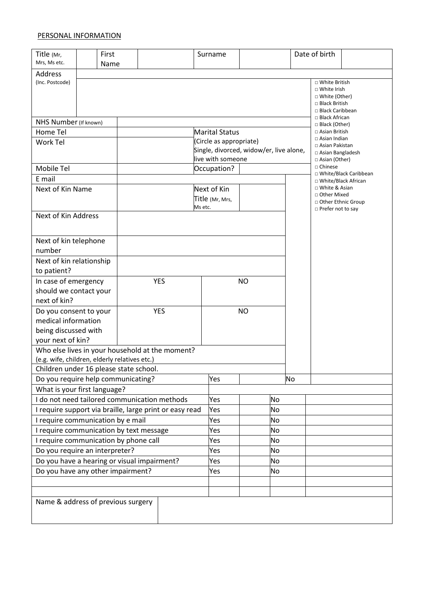#### PERSONAL INFORMATION

| Title (Mr,<br>Mrs, Ms etc.                                                       |  | First<br>Name |     |     |            |         | Surname                                 |  |    |           | Date of birth                                                                               |                         |  |
|----------------------------------------------------------------------------------|--|---------------|-----|-----|------------|---------|-----------------------------------------|--|----|-----------|---------------------------------------------------------------------------------------------|-------------------------|--|
| Address                                                                          |  |               |     |     |            |         |                                         |  |    |           |                                                                                             |                         |  |
| (Inc. Postcode)                                                                  |  |               |     |     |            |         |                                         |  |    |           | □ White British<br>□ White Irish<br>□ White (Other)<br>□ Black British<br>□ Black Caribbean |                         |  |
| NHS Number (If known)                                                            |  |               |     |     |            |         |                                         |  |    |           | □ Black African<br>□ Black (Other)                                                          |                         |  |
| Home Tel                                                                         |  |               |     |     |            |         | <b>Marital Status</b>                   |  |    |           | □ Asian British                                                                             |                         |  |
| Work Tel                                                                         |  |               |     |     |            |         | (Circle as appropriate)                 |  |    |           | $\Box$ Asian Indian<br>□ Asian Pakistan                                                     |                         |  |
|                                                                                  |  |               |     |     |            |         | Single, divorced, widow/er, live alone, |  |    |           | □ Asian Bangladesh                                                                          |                         |  |
| Mobile Tel                                                                       |  |               |     |     |            |         | live with someone<br>Occupation?        |  |    |           | □ Asian (Other)<br>□ Chinese                                                                |                         |  |
| E mail                                                                           |  |               |     |     |            |         |                                         |  |    |           |                                                                                             | □ White/Black Caribbean |  |
| Next of Kin Name                                                                 |  |               |     |     |            |         | Next of Kin                             |  |    |           | □ White/Black African<br>□ White & Asian                                                    |                         |  |
|                                                                                  |  |               |     |     |            |         | Title (Mr, Mrs,                         |  |    |           | □ Other Mixed                                                                               |                         |  |
|                                                                                  |  |               |     |     |            | Ms etc. |                                         |  |    |           | □ Other Ethnic Group<br>$\Box$ Prefer not to say                                            |                         |  |
| Next of Kin Address                                                              |  |               |     |     |            |         |                                         |  |    |           |                                                                                             |                         |  |
|                                                                                  |  |               |     |     |            |         |                                         |  |    |           |                                                                                             |                         |  |
| Next of kin telephone                                                            |  |               |     |     |            |         |                                         |  |    |           |                                                                                             |                         |  |
| number                                                                           |  |               |     |     |            |         |                                         |  |    |           |                                                                                             |                         |  |
| Next of kin relationship                                                         |  |               |     |     |            |         |                                         |  |    |           |                                                                                             |                         |  |
| to patient?                                                                      |  |               |     |     |            |         |                                         |  |    |           |                                                                                             |                         |  |
| In case of emergency                                                             |  |               |     |     | <b>YES</b> |         | ΝO                                      |  |    |           |                                                                                             |                         |  |
| should we contact your                                                           |  |               |     |     |            |         |                                         |  |    |           |                                                                                             |                         |  |
| next of kin?                                                                     |  |               |     |     |            |         |                                         |  |    |           |                                                                                             |                         |  |
| Do you consent to your                                                           |  |               |     |     | <b>YES</b> |         | <b>NO</b>                               |  |    |           |                                                                                             |                         |  |
| medical information                                                              |  |               |     |     |            |         |                                         |  |    |           |                                                                                             |                         |  |
| being discussed with<br>your next of kin?                                        |  |               |     |     |            |         |                                         |  |    |           |                                                                                             |                         |  |
| Who else lives in your household at the moment?                                  |  |               |     |     |            |         |                                         |  |    |           |                                                                                             |                         |  |
| (e.g. wife, children, elderly relatives etc.)                                    |  |               |     |     |            |         |                                         |  |    |           |                                                                                             |                         |  |
| Children under 16 please state school.                                           |  |               |     |     |            |         |                                         |  |    |           |                                                                                             |                         |  |
| Do you require help communicating?                                               |  |               |     |     |            |         | Yes                                     |  |    | <b>No</b> |                                                                                             |                         |  |
| What is your first language?                                                     |  |               |     |     |            |         |                                         |  |    |           |                                                                                             |                         |  |
| I do not need tailored communication methods                                     |  |               |     |     |            |         | Yes                                     |  | No |           |                                                                                             |                         |  |
| I require support via braille, large print or easy read                          |  |               |     |     |            |         | Yes                                     |  | No |           |                                                                                             |                         |  |
| I require communication by e mail                                                |  |               |     |     | Yes        |         | No                                      |  |    |           |                                                                                             |                         |  |
| I require communication by text message                                          |  |               |     | Yes |            | No      |                                         |  |    |           |                                                                                             |                         |  |
| I require communication by phone call                                            |  |               |     | Yes |            | No      |                                         |  |    |           |                                                                                             |                         |  |
| Do you require an interpreter?                                                   |  |               |     | Yes |            | No      |                                         |  |    |           |                                                                                             |                         |  |
| Do you have a hearing or visual impairment?<br>Do you have any other impairment? |  |               | Yes |     | No         |         |                                         |  |    |           |                                                                                             |                         |  |
|                                                                                  |  |               |     |     |            |         | Yes                                     |  | No |           |                                                                                             |                         |  |
|                                                                                  |  |               |     |     |            |         |                                         |  |    |           |                                                                                             |                         |  |
|                                                                                  |  |               |     |     |            |         |                                         |  |    |           |                                                                                             |                         |  |
| Name & address of previous surgery                                               |  |               |     |     |            |         |                                         |  |    |           |                                                                                             |                         |  |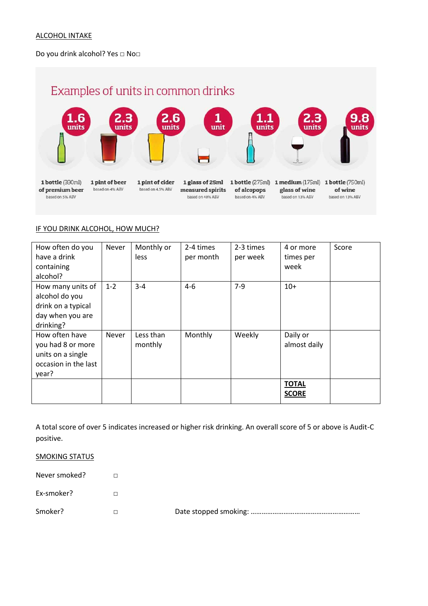#### ALCOHOL INTAKE

#### Do you drink alcohol? Yes □ No□

# Examples of units in common drinks



#### IF YOU DRINK ALCOHOL, HOW MUCH?

| How often do you<br>have a drink<br>containing                                             | <b>Never</b> | Monthly or<br><b>less</b> | 2-4 times<br>per month | 2-3 times<br>per week | 4 or more<br>times per<br>week | Score |
|--------------------------------------------------------------------------------------------|--------------|---------------------------|------------------------|-----------------------|--------------------------------|-------|
| alcohol?                                                                                   |              |                           |                        |                       |                                |       |
| How many units of<br>alcohol do you<br>drink on a typical<br>day when you are<br>drinking? | $1 - 2$      | $3 - 4$                   | $4-6$                  | $7-9$                 | $10+$                          |       |
| How often have<br>you had 8 or more<br>units on a single<br>occasion in the last<br>year?  | <b>Never</b> | Less than<br>monthly      | Monthly                | Weekly                | Daily or<br>almost daily       |       |
|                                                                                            |              |                           |                        |                       | <b>TOTAL</b><br><b>SCORE</b>   |       |

A total score of over 5 indicates increased or higher risk drinking. An overall score of 5 or above is Audit-C positive.

#### **SMOKING STATUS**

Never smoked? □ Ex-smoker? □

Smoker? □ Date stopped smoking: ……………………………………………………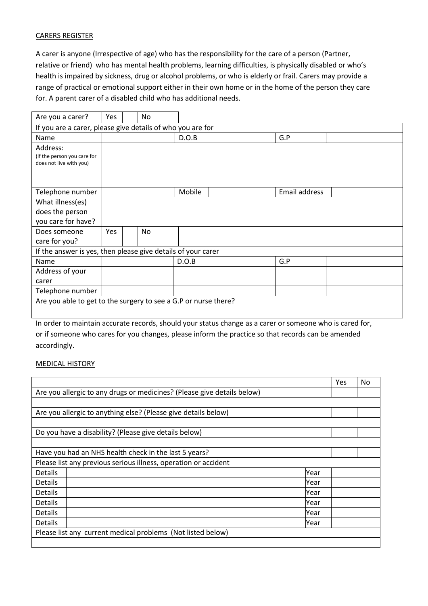#### CARERS REGISTER

A carer is anyone (Irrespective of age) who has the responsibility for the care of a person (Partner, relative or friend) who has mental health problems, learning difficulties, is physically disabled or who's health is impaired by sickness, drug or alcohol problems, or who is elderly or frail. Carers may provide a range of practical or emotional support either in their own home or in the home of the person they care for. A parent carer of a disabled child who has additional needs.

| Are you a carer?                                                   | Yes |  | <b>No</b> |  |        |  |  |               |  |
|--------------------------------------------------------------------|-----|--|-----------|--|--------|--|--|---------------|--|
| If you are a carer, please give details of who you are for         |     |  |           |  |        |  |  |               |  |
| Name                                                               |     |  |           |  | D.O.B  |  |  | G.P           |  |
| Address:<br>(If the person you care for<br>does not live with you) |     |  |           |  |        |  |  |               |  |
| Telephone number                                                   |     |  |           |  | Mobile |  |  | Email address |  |
| What illness(es)                                                   |     |  |           |  |        |  |  |               |  |
| does the person                                                    |     |  |           |  |        |  |  |               |  |
| you care for have?                                                 |     |  |           |  |        |  |  |               |  |
| Does someone                                                       | Yes |  | No        |  |        |  |  |               |  |
| care for you?                                                      |     |  |           |  |        |  |  |               |  |
| If the answer is yes, then please give details of your carer       |     |  |           |  |        |  |  |               |  |
| Name                                                               |     |  |           |  | D.O.B  |  |  | G.P           |  |
| Address of your                                                    |     |  |           |  |        |  |  |               |  |
| carer                                                              |     |  |           |  |        |  |  |               |  |
| Telephone number                                                   |     |  |           |  |        |  |  |               |  |
| Are you able to get to the surgery to see a G.P or nurse there?    |     |  |           |  |        |  |  |               |  |

In order to maintain accurate records, should your status change as a carer or someone who is cared for, or if someone who cares for you changes, please inform the practice so that records can be amended accordingly.

#### MEDICAL HISTORY

|                                                                 |                                                                         | Yes | No. |  |  |  |  |
|-----------------------------------------------------------------|-------------------------------------------------------------------------|-----|-----|--|--|--|--|
|                                                                 | Are you allergic to any drugs or medicines? (Please give details below) |     |     |  |  |  |  |
|                                                                 |                                                                         |     |     |  |  |  |  |
|                                                                 | Are you allergic to anything else? (Please give details below)          |     |     |  |  |  |  |
|                                                                 |                                                                         |     |     |  |  |  |  |
| Do you have a disability? (Please give details below)           |                                                                         |     |     |  |  |  |  |
|                                                                 |                                                                         |     |     |  |  |  |  |
| Have you had an NHS health check in the last 5 years?           |                                                                         |     |     |  |  |  |  |
| Please list any previous serious illness, operation or accident |                                                                         |     |     |  |  |  |  |
| Details                                                         | Year                                                                    |     |     |  |  |  |  |
| <b>Details</b>                                                  | Year                                                                    |     |     |  |  |  |  |
| <b>Details</b>                                                  | Year                                                                    |     |     |  |  |  |  |
| <b>Details</b>                                                  | Year                                                                    |     |     |  |  |  |  |
| <b>Details</b>                                                  | Year                                                                    |     |     |  |  |  |  |
| <b>Details</b><br>Year                                          |                                                                         |     |     |  |  |  |  |
|                                                                 | Please list any current medical problems (Not listed below)             |     |     |  |  |  |  |
|                                                                 |                                                                         |     |     |  |  |  |  |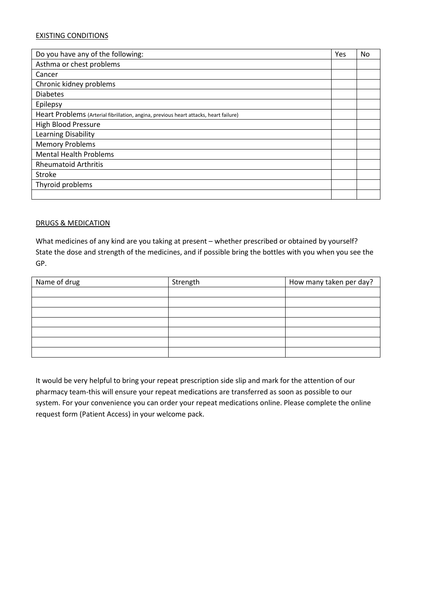#### EXISTING CONDITIONS

| Do you have any of the following:                                                     | Yes | No |  |  |  |
|---------------------------------------------------------------------------------------|-----|----|--|--|--|
| Asthma or chest problems                                                              |     |    |  |  |  |
| Cancer                                                                                |     |    |  |  |  |
| Chronic kidney problems                                                               |     |    |  |  |  |
| <b>Diabetes</b>                                                                       |     |    |  |  |  |
| Epilepsy                                                                              |     |    |  |  |  |
| Heart Problems (Arterial fibrillation, angina, previous heart attacks, heart failure) |     |    |  |  |  |
| <b>High Blood Pressure</b>                                                            |     |    |  |  |  |
| Learning Disability                                                                   |     |    |  |  |  |
| <b>Memory Problems</b>                                                                |     |    |  |  |  |
| <b>Mental Health Problems</b>                                                         |     |    |  |  |  |
| <b>Rheumatoid Arthritis</b>                                                           |     |    |  |  |  |
| Stroke                                                                                |     |    |  |  |  |
| Thyroid problems                                                                      |     |    |  |  |  |
|                                                                                       |     |    |  |  |  |

#### DRUGS & MEDICATION

What medicines of any kind are you taking at present – whether prescribed or obtained by yourself? State the dose and strength of the medicines, and if possible bring the bottles with you when you see the GP.

| Name of drug | Strength | How many taken per day? |
|--------------|----------|-------------------------|
|              |          |                         |
|              |          |                         |
|              |          |                         |
|              |          |                         |
|              |          |                         |
|              |          |                         |
|              |          |                         |

It would be very helpful to bring your repeat prescription side slip and mark for the attention of our pharmacy team-this will ensure your repeat medications are transferred as soon as possible to our system. For your convenience you can order your repeat medications online. Please complete the online request form (Patient Access) in your welcome pack.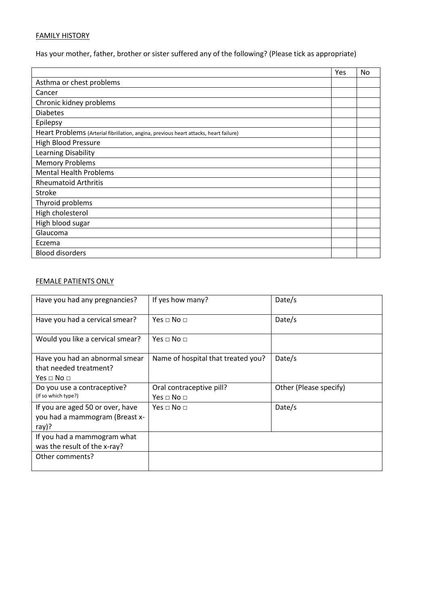## FAMILY HISTORY

Has your mother, father, brother or sister suffered any of the following? (Please tick as appropriate)

|                                                                                       | Yes | No |
|---------------------------------------------------------------------------------------|-----|----|
| Asthma or chest problems                                                              |     |    |
| Cancer                                                                                |     |    |
| Chronic kidney problems                                                               |     |    |
| <b>Diabetes</b>                                                                       |     |    |
| Epilepsy                                                                              |     |    |
| Heart Problems (Arterial fibrillation, angina, previous heart attacks, heart failure) |     |    |
| <b>High Blood Pressure</b>                                                            |     |    |
| Learning Disability                                                                   |     |    |
| <b>Memory Problems</b>                                                                |     |    |
| <b>Mental Health Problems</b>                                                         |     |    |
| <b>Rheumatoid Arthritis</b>                                                           |     |    |
| <b>Stroke</b>                                                                         |     |    |
| Thyroid problems                                                                      |     |    |
| High cholesterol                                                                      |     |    |
| High blood sugar                                                                      |     |    |
| Glaucoma                                                                              |     |    |
| Eczema                                                                                |     |    |
| <b>Blood disorders</b>                                                                |     |    |

## FEMALE PATIENTS ONLY

| Have you had any pregnancies?                                                        | If yes how many?                                     | Date/s                 |
|--------------------------------------------------------------------------------------|------------------------------------------------------|------------------------|
| Have you had a cervical smear?                                                       | Yes $\sqcap$ No $\sqcap$                             | Date/s                 |
| Would you like a cervical smear?                                                     | Yes $\sqcap$ No $\sqcap$                             |                        |
| Have you had an abnormal smear<br>that needed treatment?<br>Yes $\sqcap$ No $\sqcap$ | Name of hospital that treated you?                   | Date/s                 |
| Do you use a contraceptive?<br>(If so which type?)                                   | Oral contraceptive pill?<br>Yes $\sqcap$ No $\sqcap$ | Other (Please specify) |
| If you are aged 50 or over, have<br>you had a mammogram (Breast x-<br>ray)?          | Yes $\sqcap$ No $\sqcap$                             | Date/s                 |
| If you had a mammogram what<br>was the result of the x-ray?                          |                                                      |                        |
| Other comments?                                                                      |                                                      |                        |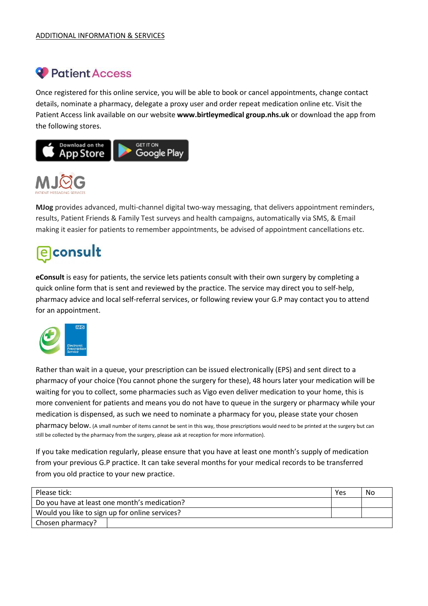# <sup>2</sup> Patient Access

Once registered for this online service, you will be able to book or cancel appointments, change contact details, nominate a pharmacy, delegate a proxy user and order repeat medication online etc. Visit the Patient Access link available on our website **www.birtleymedical group.nhs.uk** or download the app from the following stores.





**MJog** provides advanced, multi-channel digital two-way messaging, that delivers appointment reminders, results, Patient Friends & Family Test surveys and health campaigns, automatically via SMS, & Email making it easier for patients to remember appointments, be advised of appointment cancellations etc.

# **e** consult

**eConsult** is easy for patients, the service lets patients consult with their own surgery by completing a quick online form that is sent and reviewed by the practice. The service may direct you to self-help, pharmacy advice and local self-referral services, or following review your G.P may contact you to attend for an appointment.



Rather than wait in a queue, your prescription can be issued electronically (EPS) and sent direct to a pharmacy of your choice (You cannot phone the surgery for these), 48 hours later your medication will be waiting for you to collect, some pharmacies such as Vigo even deliver medication to your home, this is more convenient for patients and means you do not have to queue in the surgery or pharmacy while your medication is dispensed, as such we need to nominate a pharmacy for you, please state your chosen pharmacy below. (A small number of items cannot be sent in this way, those prescriptions would need to be printed at the surgery but can still be collected by the pharmacy from the surgery, please ask at reception for more information).

If you take medication regularly, please ensure that you have at least one month's supply of medication from your previous G.P practice. It can take several months for your medical records to be transferred from you old practice to your new practice.

| Please tick:                                   | Yes | No |  |  |  |
|------------------------------------------------|-----|----|--|--|--|
| Do you have at least one month's medication?   |     |    |  |  |  |
| Would you like to sign up for online services? |     |    |  |  |  |
| Chosen pharmacy?                               |     |    |  |  |  |